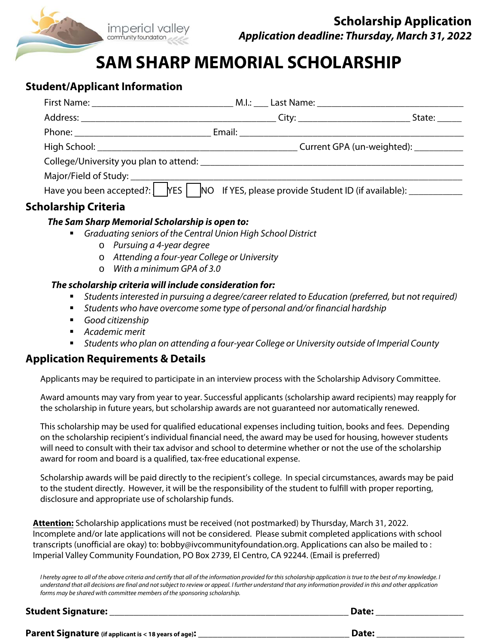

# **SAM SHARP MEMORIAL SCHOLARSHIP**

## **Student/Applicant Information**

|                             |                                                                                               | State:                                |
|-----------------------------|-----------------------------------------------------------------------------------------------|---------------------------------------|
|                             |                                                                                               |                                       |
|                             |                                                                                               | Current GPA (un-weighted): __________ |
|                             |                                                                                               |                                       |
|                             |                                                                                               |                                       |
|                             | Have you been accepted?: PYES NO If YES, please provide Student ID (if available): __________ |                                       |
| <b>Scholarship Criteria</b> |                                                                                               |                                       |

### **The Sam Sharp Memorial Scholarship is open to:**

- Graduating seniors of the Central Union High School District
	- o Pursuing a 4-year degree
	- o Attending a four-year College or University
	- o With a minimum GPA of 3.0

#### **The scholarship criteria will include consideration for:**

- Students interested in pursuing a degree/career related to Education (preferred, but not required)
- Students who have overcome some type of personal and/or financial hardship
- Good citizenship
- Academic merit
- Students who plan on attending a four-year College or University outside of Imperial County

## **Application Requirements & Details**

Applicants may be required to participate in an interview process with the Scholarship Advisory Committee.

Award amounts may vary from year to year. Successful applicants (scholarship award recipients) may reapply for the scholarship in future years, but scholarship awards are not guaranteed nor automatically renewed.

This scholarship may be used for qualified educational expenses including tuition, books and fees. Depending on the scholarship recipient's individual financial need, the award may be used for housing, however students will need to consult with their tax advisor and school to determine whether or not the use of the scholarship award for room and board is a qualified, tax-free educational expense.

Scholarship awards will be paid directly to the recipient's college. In special circumstances, awards may be paid to the student directly. However, it will be the responsibility of the student to fulfill with proper reporting, disclosure and appropriate use of scholarship funds.

**Attention:** Scholarship applications must be received (not postmarked) by Thursday, March 31, 2022. Incomplete and/or late applications will not be considered. Please submit completed applications with school transcripts (unofficial are okay) to: bobby@ivcommunityfoundation.org. Applications can also be mailed to : Imperial Valley Community Foundation, PO Box 2739, El Centro, CA 92244. (Email is preferred)

I hereby agree to all of the above criteria and certify that all of the information provided for this scholarship application is true to the best of my knowledge. I understand that all decisions are final and not subject to review or appeal. I further understand that any information provided in this and other application forms may be shared with committee members of the sponsoring scholarship.

| <b>Student Signature:</b>                             | Date: |
|-------------------------------------------------------|-------|
| Parent Signature (if applicant is < 18 years of age): | Date: |